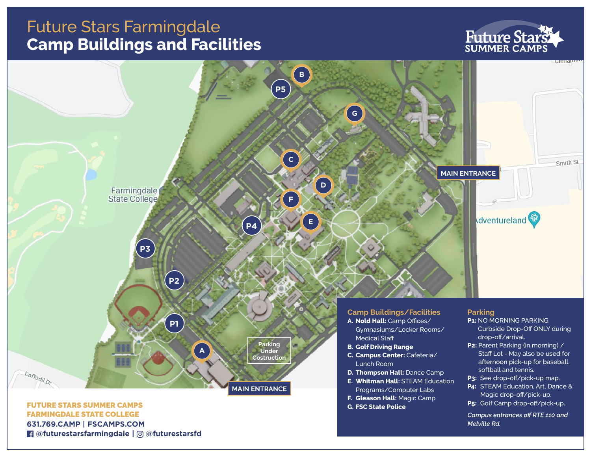## Future Stars Farmingdale **Camp Buildings and Facilities**

# **Future Stars**

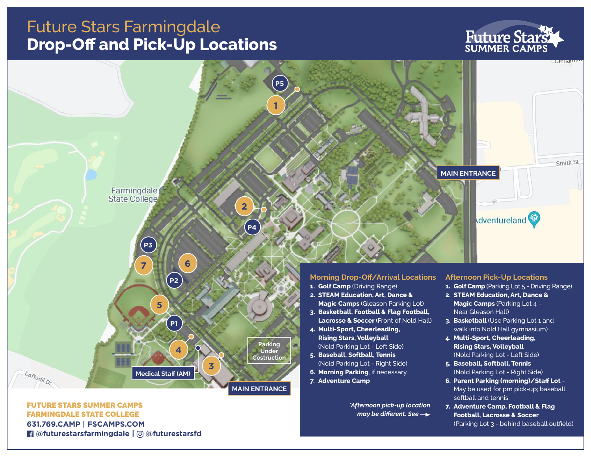## Future Stars Farmingdale **Drop-Off and Pick-Up Locations**

# **Future Stars**

(Parking Lot 3 - behind baseball outfield)



FARMINGDALE STATE COLLEGE **631.769.CAMP | FSCAMPS.COM**

 **@futurestarsfarmingdale | @futurestarsfd**